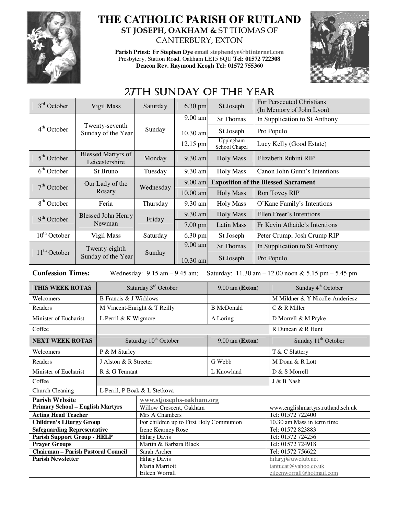

## **THE CATHOLIC PARISH OF RUTLAND ST JOSEPH, OAKHAM &** ST THOMAS OF CANTERBURY, EXTON

**Parish Priest: Fr Stephen Dye email stephendye@btinternet.com** Presbytery, Station Road, Oakham LE15 6QU **Tel: 01572 722308 Deacon Rev. Raymond Keogh Tel: 01572 755360** 



## 27TH SUNDAY OF THE YEAR

| 3 <sup>rd</sup> October                                                                                              | Vigil Mass                                  |                                      | Saturday                                                      | 6.30 pm         | St Joseph                  |                                                 | For Persecuted Christians<br>(In Memory of John Lyon) |  |
|----------------------------------------------------------------------------------------------------------------------|---------------------------------------------|--------------------------------------|---------------------------------------------------------------|-----------------|----------------------------|-------------------------------------------------|-------------------------------------------------------|--|
| 4 <sup>th</sup> October                                                                                              |                                             |                                      | Sunday                                                        | 9.00 am         | St Thomas                  |                                                 | In Supplication to St Anthony                         |  |
|                                                                                                                      |                                             | Twenty-seventh<br>Sunday of the Year |                                                               | 10.30 am        | St Joseph                  | Pro Populo                                      |                                                       |  |
|                                                                                                                      |                                             |                                      |                                                               | 12.15 pm        | Uppingham<br>School Chapel | Lucy Kelly (Good Estate)                        |                                                       |  |
| 5 <sup>th</sup> October                                                                                              | <b>Blessed Martyrs of</b><br>Leicestershire |                                      | Monday                                                        | 9.30 am         | <b>Holy Mass</b>           | Elizabeth Rubini RIP                            |                                                       |  |
| 6 <sup>th</sup> October                                                                                              | St Bruno                                    |                                      | Tuesday                                                       | 9.30 am         | <b>Holy Mass</b>           | Canon John Gunn's Intentions                    |                                                       |  |
| $7th$ October                                                                                                        |                                             | Our Lady of the                      | Wednesday                                                     | 9.00 am         |                            | <b>Exposition of the Blessed Sacrament</b>      |                                                       |  |
|                                                                                                                      |                                             | Rosary                               |                                                               | $10.00$ am      | <b>Holy Mass</b>           | Ron Tovey RIP                                   |                                                       |  |
| 8 <sup>th</sup> October                                                                                              | Feria                                       |                                      | Thursday                                                      | 9.30 am         | <b>Holy Mass</b>           | O'Kane Family's Intentions                      |                                                       |  |
| 9 <sup>th</sup> October                                                                                              |                                             | <b>Blessed John Henry</b>            | Friday                                                        | 9.30 am         | <b>Holy Mass</b>           | Ellen Freer's Intentions                        |                                                       |  |
|                                                                                                                      | Newman                                      |                                      |                                                               | 7.00 pm         | <b>Latin Mass</b>          | Fr Kevin Athaide's Intentions                   |                                                       |  |
| $10th$ October                                                                                                       |                                             | Vigil Mass                           | Saturday                                                      | 6.30 pm         | St Joseph                  | Peter Crump, Josh Crump RIP                     |                                                       |  |
|                                                                                                                      |                                             | Twenty-eighth                        | Sunday                                                        | 9.00 am         | <b>St Thomas</b>           |                                                 | In Supplication to St Anthony                         |  |
| $11th$ October                                                                                                       |                                             | Sunday of the Year                   |                                                               | 10.30 am        | St Joseph                  | Pro Populo                                      |                                                       |  |
| <b>Confession Times:</b><br>Saturday: 11.30 am - 12.00 noon & 5.15 pm - 5.45 pm<br>Wednesday: $9.15$ am $- 9.45$ am; |                                             |                                      |                                                               |                 |                            |                                                 |                                                       |  |
| THIS WEEK ROTAS                                                                                                      |                                             | Saturday 3rd October                 |                                                               | 9.00 am (Exton) |                            | Sunday 4 <sup>th</sup> October                  |                                                       |  |
| Welcomers<br>B Francis & J Widdows                                                                                   |                                             |                                      |                                                               |                 |                            |                                                 | M Mildner & Y Nicolle-Anderiesz                       |  |
| Readers                                                                                                              |                                             | M Vincent-Enright & T Reilly         |                                                               |                 | <b>B</b> McDonald          |                                                 | C & R Miller                                          |  |
| Minister of Eucharist                                                                                                |                                             | L Perril & K Wigmore                 |                                                               |                 | A Loring                   |                                                 | D Morrell & M Pryke                                   |  |
| Coffee                                                                                                               |                                             |                                      |                                                               |                 |                            |                                                 | R Duncan & R Hunt                                     |  |
| <b>NEXT WEEK ROTAS</b>                                                                                               |                                             | Saturday 10 <sup>th</sup> October    |                                                               |                 | $9.00$ am (Exton)          |                                                 | Sunday 11 <sup>th</sup> October                       |  |
| Welcomers                                                                                                            |                                             | P & M Sturley                        |                                                               |                 |                            |                                                 | T & C Slattery                                        |  |
| Readers                                                                                                              |                                             | J Alston & R Streeter                |                                                               |                 | G Webb                     |                                                 | M Donn & R Lott                                       |  |
| Minister of Eucharist                                                                                                |                                             | R & G Tennant                        | L Knowland                                                    |                 |                            |                                                 | D & S Morrell                                         |  |
| Coffee                                                                                                               |                                             |                                      |                                                               |                 |                            | J & B Nash                                      |                                                       |  |
| Church Cleaning                                                                                                      |                                             |                                      | L Perril, P Boak & L Stetkova                                 |                 |                            |                                                 |                                                       |  |
| <b>Parish Website</b>                                                                                                |                                             |                                      | www.stjosephs-oakham.org                                      |                 |                            |                                                 |                                                       |  |
| <b>Primary School - English Martyrs</b>                                                                              |                                             |                                      | Willow Crescent, Oakham                                       |                 |                            | www.englishmartyrs.rutland.sch.uk               |                                                       |  |
| <b>Acting Head Teacher</b><br><b>Children's Liturgy Group</b>                                                        |                                             |                                      | Mrs A Chambers                                                |                 |                            | Tel: 01572 722400<br>10.30 am Mass in term time |                                                       |  |
| <b>Safeguarding Representative</b>                                                                                   |                                             |                                      | For children up to First Holy Communion<br>Irene Kearney Rose |                 |                            | Tel: 01572 823883                               |                                                       |  |
| <b>Parish Support Group - HELP</b>                                                                                   |                                             |                                      | <b>Hilary Davis</b>                                           |                 |                            |                                                 | Tel: 01572 724256                                     |  |
| <b>Prayer Groups</b>                                                                                                 |                                             |                                      | Martin & Barbara Black                                        |                 |                            |                                                 | Tel: 01572 724918                                     |  |
| <b>Chairman - Parish Pastoral Council</b>                                                                            |                                             |                                      | Sarah Archer                                                  |                 |                            |                                                 | Tel: 01572 756622                                     |  |
| <b>Parish Newsletter</b>                                                                                             |                                             |                                      | <b>Hilary Davis</b>                                           |                 |                            | hilaryj@uwclub.net                              |                                                       |  |
|                                                                                                                      |                                             |                                      | Maria Marriott                                                |                 |                            | tantucat@yahoo.co.uk                            |                                                       |  |
|                                                                                                                      |                                             |                                      | Eileen Worrall                                                |                 |                            | eileenworrall@hotmail.com                       |                                                       |  |